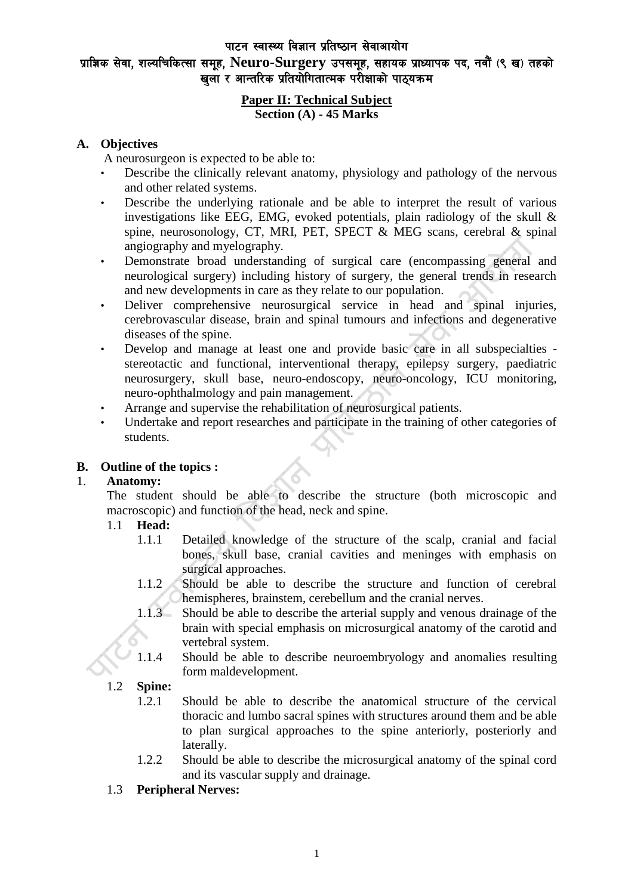#### पाटन स्वास्थ्य विज्ञान प्रतिष्ठान सेवाआयोग

# प्राज्ञिक सेवा, शल्यचिकित्सा समूह, Neuro-Surgery उपसमूह, सहायक प्राध्यापक पद, नवौं (९ ख) तहको खला र आन्तरिक प्रतियोगितात्मक परीक्षाको पाठयक्रम

#### **Paper II: Technical Subject Section (A) - 45 Marks**

# **A. Objectives**

A neurosurgeon is expected to be able to:

- Describe the clinically relevant anatomy, physiology and pathology of the nervous and other related systems.
- Describe the underlying rationale and be able to interpret the result of various investigations like EEG, EMG, evoked potentials, plain radiology of the skull  $\&$ spine, neurosonology, CT, MRI, PET, SPECT & MEG scans, cerebral & spinal angiography and myelography.
- Demonstrate broad understanding of surgical care (encompassing general and neurological surgery) including history of surgery, the general trends in research and new developments in care as they relate to our population.
- Deliver comprehensive neurosurgical service in head and spinal injuries, cerebrovascular disease, brain and spinal tumours and infections and degenerative diseases of the spine.
- Develop and manage at least one and provide basic care in all subspecialties stereotactic and functional, interventional therapy, epilepsy surgery, paediatric neurosurgery, skull base, neuro-endoscopy, neuro-oncology, ICU monitoring, neuro-ophthalmology and pain management.
- Arrange and supervise the rehabilitation of neurosurgical patients.
- Undertake and report researches and participate in the training of other categories of students.

# **B. Outline of the topics :**

# 1. **Anatomy:**

The student should be able to describe the structure (both microscopic and macroscopic) and function of the head, neck and spine.

#### 1.1 **Head:**

- 1.1.1 Detailed knowledge of the structure of the scalp, cranial and facial bones, skull base, cranial cavities and meninges with emphasis on surgical approaches.
- 1.1.2 Should be able to describe the structure and function of cerebral hemispheres, brainstem, cerebellum and the cranial nerves.
- 1.1.3 Should be able to describe the arterial supply and venous drainage of the brain with special emphasis on microsurgical anatomy of the carotid and vertebral system.
- 1.1.4 Should be able to describe neuroembryology and anomalies resulting form maldevelopment.

# 1.2 **Spine:**

- 1.2.1 Should be able to describe the anatomical structure of the cervical thoracic and lumbo sacral spines with structures around them and be able to plan surgical approaches to the spine anteriorly, posteriorly and laterally.
- 1.2.2 Should be able to describe the microsurgical anatomy of the spinal cord and its vascular supply and drainage.
- 1.3 **Peripheral Nerves:**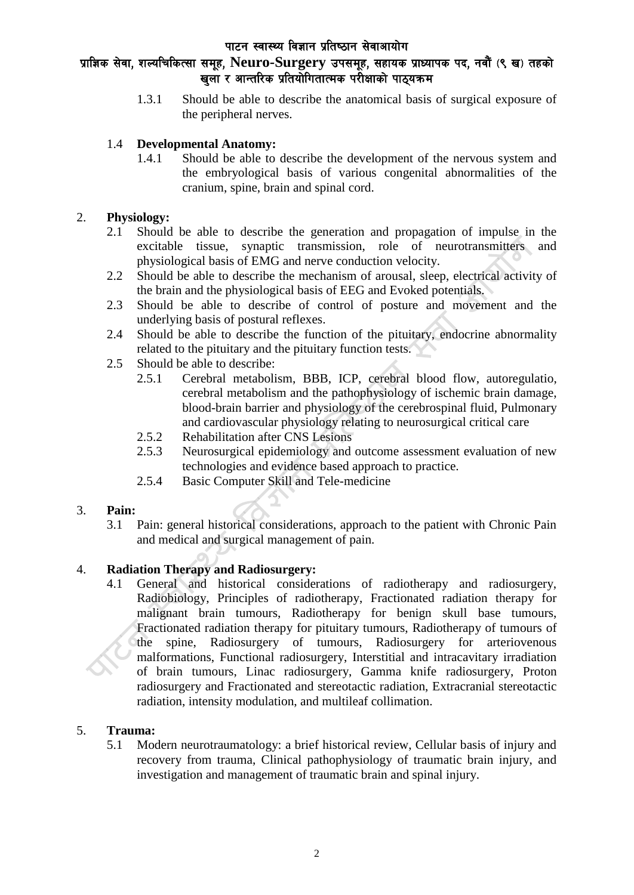#### पाटन स्वास्थ्य विज्ञान प्रतिष्ठान सेवाआयोग

# प्राज्ञिक सेवा, शल्यचिकित्सा समूह, Neuro-Surgery उपसमूह, सहायक प्राध्यापक पद, नवौं (९ ख) तहको खला र आन्तरिक प्रतियोगितात्मक परीक्षाको पाठयक्रम

1.3.1 Should be able to describe the anatomical basis of surgical exposure of the peripheral nerves.

# 1.4 **Developmental Anatomy:**

1.4.1 Should be able to describe the development of the nervous system and the embryological basis of various congenital abnormalities of the cranium, spine, brain and spinal cord.

# 2. **Physiology:**

- 2.1 Should be able to describe the generation and propagation of impulse in the excitable tissue, synaptic transmission, role of neurotransmitters and physiological basis of EMG and nerve conduction velocity.
- 2.2 Should be able to describe the mechanism of arousal, sleep, electrical activity of the brain and the physiological basis of EEG and Evoked potentials.
- 2.3 Should be able to describe of control of posture and movement and the underlying basis of postural reflexes.
- 2.4 Should be able to describe the function of the pituitary, endocrine abnormality related to the pituitary and the pituitary function tests.
- 2.5 Should be able to describe:
	- 2.5.1 Cerebral metabolism, BBB, ICP, cerebral blood flow, autoregulatio, cerebral metabolism and the pathophysiology of ischemic brain damage, blood-brain barrier and physiology of the cerebrospinal fluid, Pulmonary and cardiovascular physiology relating to neurosurgical critical care
	- 2.5.2 Rehabilitation after CNS Lesions
	- 2.5.3 Neurosurgical epidemiology and outcome assessment evaluation of new technologies and evidence based approach to practice.
	- 2.5.4 Basic Computer Skill and Tele-medicine

# 3. **Pain:**

3.1 Pain: general historical considerations, approach to the patient with Chronic Pain and medical and surgical management of pain.

# 4. **Radiation Therapy and Radiosurgery:**

4.1 General and historical considerations of radiotherapy and radiosurgery, Radiobiology, Principles of radiotherapy, Fractionated radiation therapy for malignant brain tumours, Radiotherapy for benign skull base tumours, Fractionated radiation therapy for pituitary tumours, Radiotherapy of tumours of the spine, Radiosurgery of tumours, Radiosurgery for arteriovenous malformations, Functional radiosurgery, Interstitial and intracavitary irradiation of brain tumours, Linac radiosurgery, Gamma knife radiosurgery, Proton radiosurgery and Fractionated and stereotactic radiation, Extracranial stereotactic radiation, intensity modulation, and multileaf collimation.

# 5. **Trauma:**

5.1 Modern neurotraumatology: a brief historical review, Cellular basis of injury and recovery from trauma, Clinical pathophysiology of traumatic brain injury, and investigation and management of traumatic brain and spinal injury.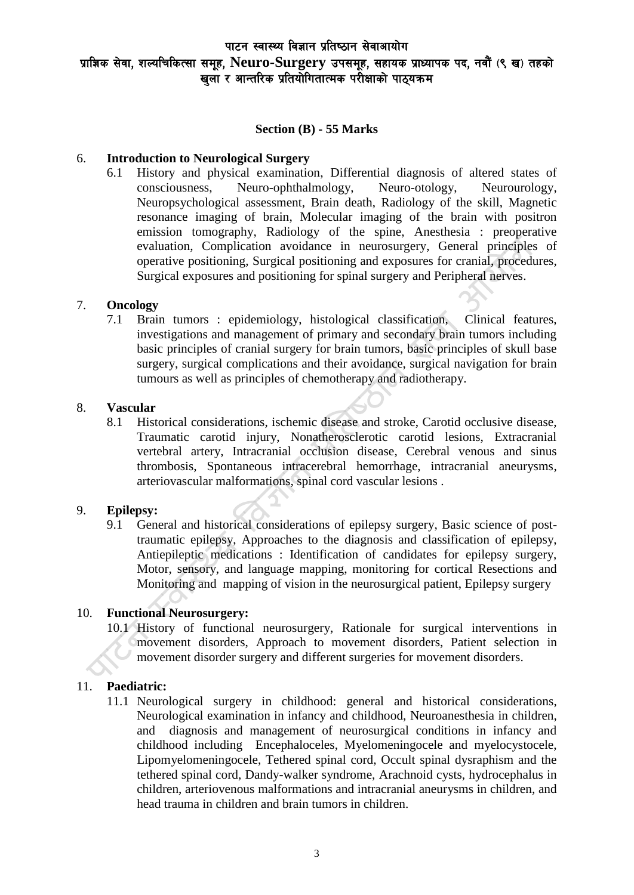# पाटन स्वास्थ्य विज्ञान प्रतिष्ठान सेवाआयोग प्राज्ञिक सेवा, शल्यचिकित्सा समूह, Neuro-Surgery उपसमूह, सहायक प्राध्यापक पद, नवौं (९ ख) तहको खला र आन्तरिक प्रतियोगितात्मक परीक्षाको पाठयक्रम

#### **Section (B) - 55 Marks**

#### 6. **Introduction to Neurological Surgery**

6.1 History and physical examination, Differential diagnosis of altered states of consciousness, Neuro-ophthalmology, Neuro-otology, Neurourology, Neuropsychological assessment, Brain death, Radiology of the skill, Magnetic resonance imaging of brain, Molecular imaging of the brain with positron emission tomography, Radiology of the spine, Anesthesia : preoperative evaluation, Complication avoidance in neurosurgery, General principles of operative positioning, Surgical positioning and exposures for cranial, procedures, Surgical exposures and positioning for spinal surgery and Peripheral nerves.

#### 7. **Oncology**

7.1 Brain tumors : epidemiology, histological classification, Clinical features, investigations and management of primary and secondary brain tumors including basic principles of cranial surgery for brain tumors, basic principles of skull base surgery, surgical complications and their avoidance, surgical navigation for brain tumours as well as principles of chemotherapy and radiotherapy.

#### 8. **Vascular**

8.1 Historical considerations, ischemic disease and stroke, Carotid occlusive disease, Traumatic carotid injury, Nonatherosclerotic carotid lesions, Extracranial vertebral artery, Intracranial occlusion disease, Cerebral venous and sinus thrombosis, Spontaneous intracerebral hemorrhage, intracranial aneurysms, arteriovascular malformations, spinal cord vascular lesions .

#### 9. **Epilepsy:**

9.1 General and historical considerations of epilepsy surgery, Basic science of posttraumatic epilepsy, Approaches to the diagnosis and classification of epilepsy, Antiepileptic medications : Identification of candidates for epilepsy surgery, Motor, sensory, and language mapping, monitoring for cortical Resections and Monitoring and mapping of vision in the neurosurgical patient, Epilepsy surgery

# 10. **Functional Neurosurgery:**

10.1 History of functional neurosurgery, Rationale for surgical interventions in movement disorders, Approach to movement disorders, Patient selection in movement disorder surgery and different surgeries for movement disorders.

# 11. **Paediatric:**

11.1 Neurological surgery in childhood: general and historical considerations, Neurological examination in infancy and childhood, Neuroanesthesia in children, and diagnosis and management of neurosurgical conditions in infancy and childhood including Encephaloceles, Myelomeningocele and myelocystocele, Lipomyelomeningocele, Tethered spinal cord, Occult spinal dysraphism and the tethered spinal cord, Dandy-walker syndrome, Arachnoid cysts, hydrocephalus in children, arteriovenous malformations and intracranial aneurysms in children, and head trauma in children and brain tumors in children.